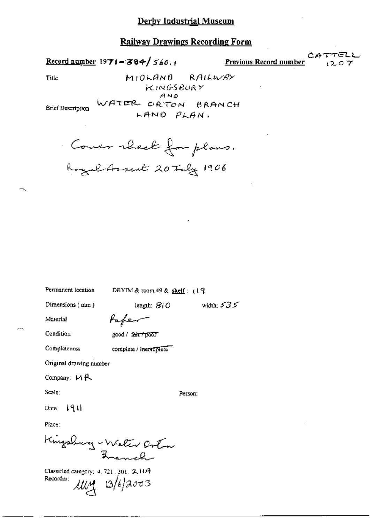#### **Railway Drawings Recording Form**

Record number 1971-384/ $560.1$ 

Previous Record number

Title

 $MIOFAND$ RAILWAY KINGSBURY  $A N.0$ WATER ORTON BRANCH LAND PLAN.

**Brief Description** 

Cover rheek for plans. Royal Assent 20 July 1906

Permanent location

DBYIM & room 49 & shelf:  $(19$ 

length:  $810$ 

Dimensions (mm)

width:  $535$ 

Material

fofer

Condition

Completeness

good / fair / poor

complete / incomplete

Original drawing number

Company:  $M$  $R$ 

Scale:

Person:

Date:  $\{91\}$ 

Place:

Kingsburg - Water Orton

Classified category: 4, 721, 301, 2, 11A Recorder:  $\mu\mu$   $\alpha$   $\beta$   $\beta$   $\beta$   $\sigma$   $\beta$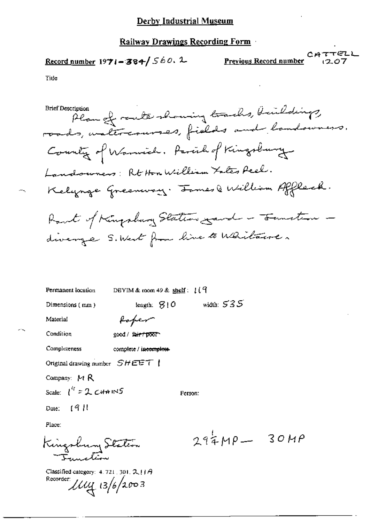## **Railway Drawings Recording Form**

τΕΖL  $CAT$ Previous Record number 07

Tide

У.

 $-$ 

,

Condition good / fair / poor

| Completeness | complete / incomplete |
|--------------|-----------------------|
|--------------|-----------------------|

Original drawing number SHEET |

Company: MR

Scale:  $\int_0^{t} f(z) dz dx$  INS

Person:

 $(911)$ Date:

Place:

Kingsbury Station Ianchion

Classified category: 4, 721, 301, 2,  $|1A$ Recorder  $\mu$  13/6/2003

 $294MP - 30MP$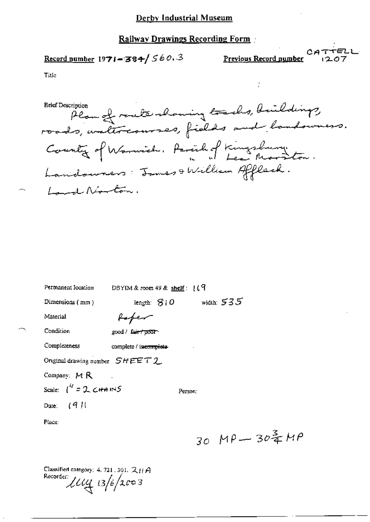## Railway Drawings Recording Form

Record number 1971-384/560.3

 $CAT$ Previous Record number

 $MP$ 

Title

BRE DESCription flowed reacher and the cho, buildings, **Erief Description** County of Warnich, Parcily of Kingshury. Landonners: James & William Affleck. Land Norton.

| Permanent location                                            | DBYIM & room $49$ & shelf: $119$ |         |                            |  |
|---------------------------------------------------------------|----------------------------------|---------|----------------------------|--|
| Dimensions (mm)                                               | iength: $310$                    |         | width: $535$               |  |
| Material                                                      | forer                            |         |                            |  |
| Condition                                                     | good / fa <del>ir / poor</del>   |         |                            |  |
| Completeness                                                  | complete / incomplete-           |         |                            |  |
| Original drawing number $SHEET$ 2                             |                                  |         |                            |  |
| Company: $M R$                                                |                                  |         |                            |  |
| Scale: $\int_0^U = 2 \cdot \mathcal{L} + 1 \cdot \mathcal{L}$ |                                  | Person: |                            |  |
| Date: $(9)$                                                   |                                  |         |                            |  |
| Place:                                                        |                                  |         |                            |  |
|                                                               |                                  |         | $30 \mu P - 30\frac{3}{4}$ |  |

Classified category: 4, 721, 301, 2HA Recorder:  $\mu_{4}$   $_{13/6/2003}$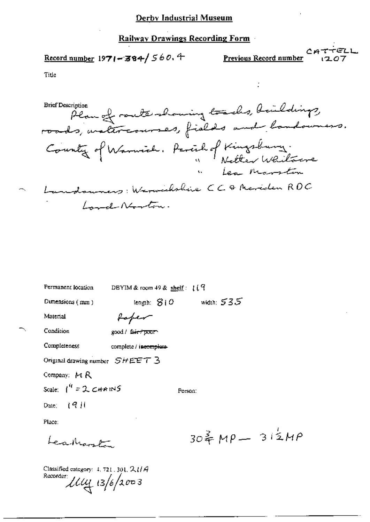#### Railway Drawings Recording Form

$$
\underline{\text{Record number}} 1971 - 384 / 560.4
$$

Previous Record number

Title

BRE DESCription planned router-homing tracks, buildings, **Brief Description** County of Warwich. Parcil of Kingsbury. <u>بوسسية ب</u>الا مره ا news: Warweckshire CCQ Merciclen ROC Lond Norton.

Permanent location

DBYIM & room 49 & shelf:  $119$ 

Dimensions (mm)

length:  $810$  width:  $535$ 

Person:

Material

faper good / fair + poor

Condition

Completeness

complete / incomplete

Original drawing number  $SHEET$  3

Company: M R

Scale:  $\int_0^0$  = 2 CHAINS

Date:  $(9)$ 

Place:

Learnant

 $304 M\rho - 312 M\rho$ 

Classified category:  $4, 721, 301, 2, 114$ Recorder  $\mu$  13/6/2003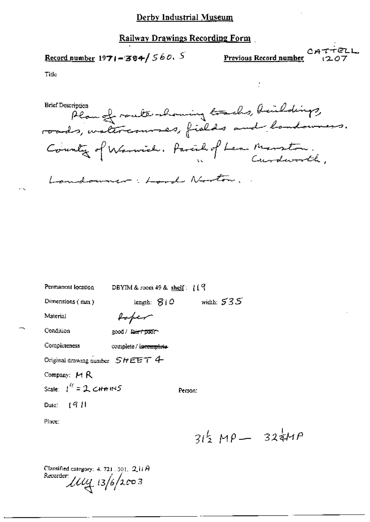#### **Railway Drawings Recording Form**

Record number 1971-384/560. S

 $CAT$ Previous Record number

Title

Brief Description of route-houring tracks, beildings, **Brief Description** County of Warwich. Parcil of Lea Marston. Landouner: Lord Norton

Permanent location DBYIM & room 49 & shelf:  $11<sup>9</sup>$ Dimensions (mm) length:  $S/O$  width:  $535$ Material faper Condition good / fair / poor Completeness complete / incomplete-Original drawing number  $SHEET$  4 Company: MR Scale:  $1^{47} = 2$  CHAINS Person: - 19 H Date: Place:

 $31\frac{1}{2}MP - 32\frac{1}{4}MP$ 

Classified category: 4, 721, 301,  $2.11A$ Recorder: Ищ із/о́/2003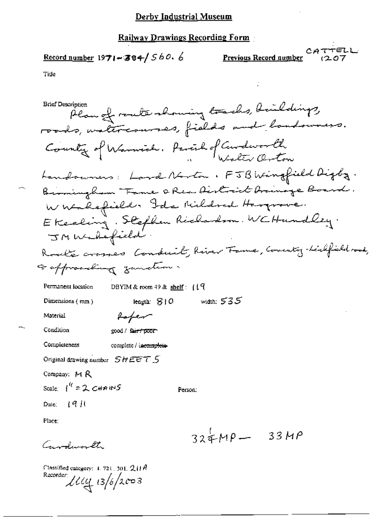#### **Railway Drawings Recording Form**

Record number  $1971 - 384 / 560.6$ 

Previous Record number

Tide

**Brief Description** Plan of route-showing toachs, buildings, roads, watercourses, fields and landswers. County of Warmich. Parent of Center Orton Landowners: Lord Norton, FJB Wingfield Digby. Birmingham Fame & Rex District brownage Board. Whatefield. Ida Mildred Harprove. Ekecling. Stefhen Richardson. WCHundley. JMWadefield. Roads crosses Conduit, River Tame, County-Liefield root, Faffromeding zunden. DBYIM & room 49 & shelf:  $119$ Permanent location width:  $535$ Dimensions (mm) leagth:  $810$ Material fafer Condition good / fair / poor Completeness complete / incomplete Original drawing number  $SHEETS$ Company: M R Scale:  $1^{i}$  = 2 CHAINS Person.  $\pm$  19  $\pm$ Dute: Place:  $324MP - 33MP$ Gundemath

Classified category:  $4.721$ , 301,  $211A$ Recorder:  $114/13/6/2003$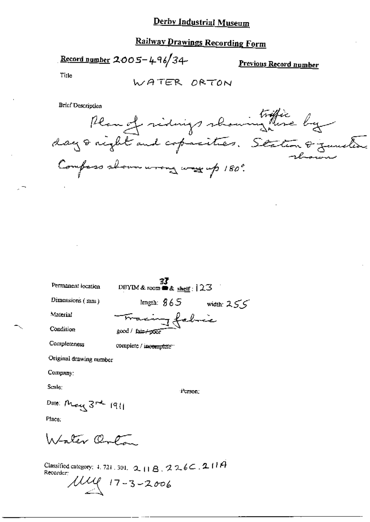# **Railway Drawings Recording Form**

Record number 2005-496/34-

Previous Record number

Title

WATER ORTON

**Brief Description** 

Brier Description<br>Plan et vidings showing mese by Compass shown wrong was up 180°.

Permanent location

 $\frac{37}{23}$ <br>DBYIM & room  $\triangle$  & shelf : 123

Dimensions (mm)

Material

Condition

length:  $865$  width:  $255$ acing fabric good / fair/poor

Completeness

complete / incomplete

Original drawing number

Company:

Scale:

Person:

Date: May 3<sup>rd</sup> 1911

Place:

Istater Orto

Classified category: 4, 721, 301, 2, 11 B, 226C, 211A Recorder:

 $17 - 3 - 2006$